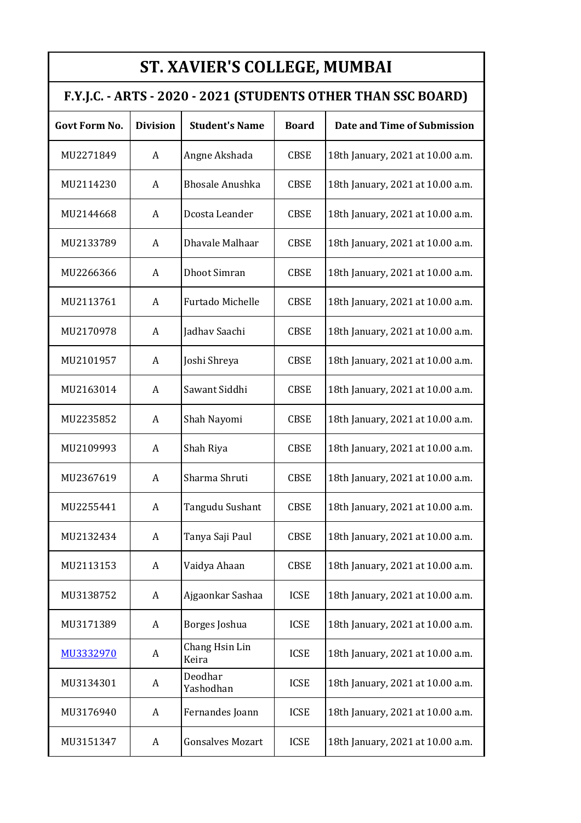| <b>ST. XAVIER'S COLLEGE, MUMBAI</b>                           |                 |                         |              |                                  |  |
|---------------------------------------------------------------|-----------------|-------------------------|--------------|----------------------------------|--|
| F.Y.J.C. - ARTS - 2020 - 2021 (STUDENTS OTHER THAN SSC BOARD) |                 |                         |              |                                  |  |
| <b>Govt Form No.</b>                                          | <b>Division</b> | <b>Student's Name</b>   | <b>Board</b> | Date and Time of Submission      |  |
| MU2271849                                                     | A               | Angne Akshada           | <b>CBSE</b>  | 18th January, 2021 at 10.00 a.m. |  |
| MU2114230                                                     | A               | <b>Bhosale Anushka</b>  | <b>CBSE</b>  | 18th January, 2021 at 10.00 a.m. |  |
| MU2144668                                                     | A               | Dcosta Leander          | <b>CBSE</b>  | 18th January, 2021 at 10.00 a.m. |  |
| MU2133789                                                     | A               | Dhavale Malhaar         | <b>CBSE</b>  | 18th January, 2021 at 10.00 a.m. |  |
| MU2266366                                                     | A               | <b>Dhoot Simran</b>     | <b>CBSE</b>  | 18th January, 2021 at 10.00 a.m. |  |
| MU2113761                                                     | A               | Furtado Michelle        | <b>CBSE</b>  | 18th January, 2021 at 10.00 a.m. |  |
| MU2170978                                                     | A               | Jadhav Saachi           | <b>CBSE</b>  | 18th January, 2021 at 10.00 a.m. |  |
| MU2101957                                                     | A               | Joshi Shreya            | <b>CBSE</b>  | 18th January, 2021 at 10.00 a.m. |  |
| MU2163014                                                     | A               | Sawant Siddhi           | <b>CBSE</b>  | 18th January, 2021 at 10.00 a.m. |  |
| MU2235852                                                     | A               | Shah Nayomi             | <b>CBSE</b>  | 18th January, 2021 at 10.00 a.m. |  |
| MU2109993                                                     | A               | Shah Riya               | <b>CBSE</b>  | 18th January, 2021 at 10.00 a.m. |  |
| MU2367619                                                     | A               | Sharma Shruti           | <b>CBSE</b>  | 18th January, 2021 at 10.00 a.m. |  |
| MU2255441                                                     | A               | Tangudu Sushant         | <b>CBSE</b>  | 18th January, 2021 at 10.00 a.m. |  |
| MU2132434                                                     | A               | Tanya Saji Paul         | <b>CBSE</b>  | 18th January, 2021 at 10.00 a.m. |  |
| MU2113153                                                     | A               | Vaidya Ahaan            | <b>CBSE</b>  | 18th January, 2021 at 10.00 a.m. |  |
| MU3138752                                                     | A               | Ajgaonkar Sashaa        | <b>ICSE</b>  | 18th January, 2021 at 10.00 a.m. |  |
| MU3171389                                                     | A               | Borges Joshua           | <b>ICSE</b>  | 18th January, 2021 at 10.00 a.m. |  |
| MU3332970                                                     | A               | Chang Hsin Lin<br>Keira | <b>ICSE</b>  | 18th January, 2021 at 10.00 a.m. |  |
| MU3134301                                                     | A               | Deodhar<br>Yashodhan    | <b>ICSE</b>  | 18th January, 2021 at 10.00 a.m. |  |
| MU3176940                                                     | A               | Fernandes Joann         | <b>ICSE</b>  | 18th January, 2021 at 10.00 a.m. |  |
| MU3151347                                                     | A               | <b>Gonsalves Mozart</b> | <b>ICSE</b>  | 18th January, 2021 at 10.00 a.m. |  |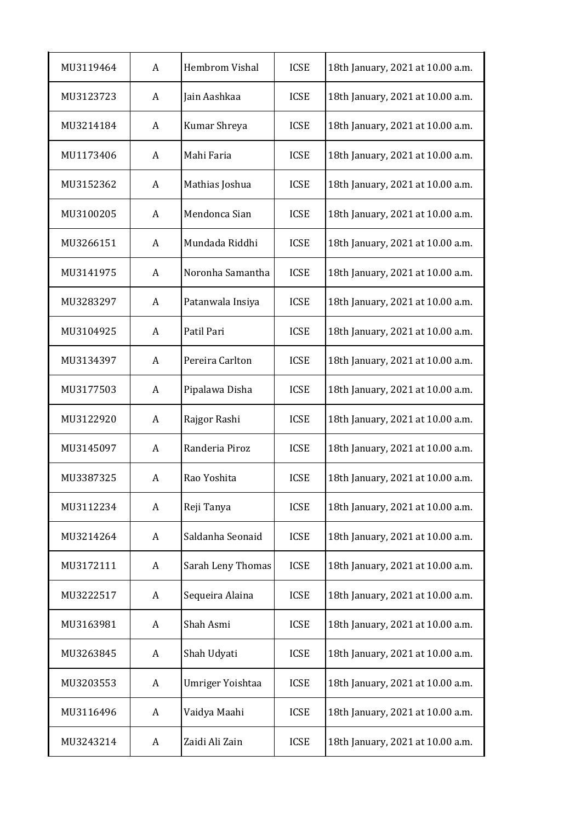| MU3119464 | A | Hembrom Vishal    | <b>ICSE</b> | 18th January, 2021 at 10.00 a.m. |
|-----------|---|-------------------|-------------|----------------------------------|
| MU3123723 | A | Jain Aashkaa      | <b>ICSE</b> | 18th January, 2021 at 10.00 a.m. |
| MU3214184 | A | Kumar Shreya      | <b>ICSE</b> | 18th January, 2021 at 10.00 a.m. |
| MU1173406 | A | Mahi Faria        | <b>ICSE</b> | 18th January, 2021 at 10.00 a.m. |
| MU3152362 | A | Mathias Joshua    | <b>ICSE</b> | 18th January, 2021 at 10.00 a.m. |
| MU3100205 | A | Mendonca Sian     | <b>ICSE</b> | 18th January, 2021 at 10.00 a.m. |
| MU3266151 | A | Mundada Riddhi    | <b>ICSE</b> | 18th January, 2021 at 10.00 a.m. |
| MU3141975 | A | Noronha Samantha  | <b>ICSE</b> | 18th January, 2021 at 10.00 a.m. |
| MU3283297 | A | Patanwala Insiya  | <b>ICSE</b> | 18th January, 2021 at 10.00 a.m. |
| MU3104925 | A | Patil Pari        | <b>ICSE</b> | 18th January, 2021 at 10.00 a.m. |
| MU3134397 | A | Pereira Carlton   | <b>ICSE</b> | 18th January, 2021 at 10.00 a.m. |
| MU3177503 | A | Pipalawa Disha    | <b>ICSE</b> | 18th January, 2021 at 10.00 a.m. |
| MU3122920 | A | Rajgor Rashi      | <b>ICSE</b> | 18th January, 2021 at 10.00 a.m. |
| MU3145097 | A | Randeria Piroz    | <b>ICSE</b> | 18th January, 2021 at 10.00 a.m. |
| MU3387325 | A | Rao Yoshita       | <b>ICSE</b> | 18th January, 2021 at 10.00 a.m. |
| MU3112234 | A | Reji Tanya        | <b>ICSE</b> | 18th January, 2021 at 10.00 a.m. |
| MU3214264 | A | Saldanha Seonaid  | <b>ICSE</b> | 18th January, 2021 at 10.00 a.m. |
| MU3172111 | A | Sarah Leny Thomas | <b>ICSE</b> | 18th January, 2021 at 10.00 a.m. |
| MU3222517 | A | Sequeira Alaina   | <b>ICSE</b> | 18th January, 2021 at 10.00 a.m. |
| MU3163981 | A | Shah Asmi         | <b>ICSE</b> | 18th January, 2021 at 10.00 a.m. |
| MU3263845 | A | Shah Udyati       | <b>ICSE</b> | 18th January, 2021 at 10.00 a.m. |
| MU3203553 | A | Umriger Yoishtaa  | <b>ICSE</b> | 18th January, 2021 at 10.00 a.m. |
| MU3116496 | A | Vaidya Maahi      | <b>ICSE</b> | 18th January, 2021 at 10.00 a.m. |
| MU3243214 | A | Zaidi Ali Zain    | <b>ICSE</b> | 18th January, 2021 at 10.00 a.m. |
|           |   |                   |             |                                  |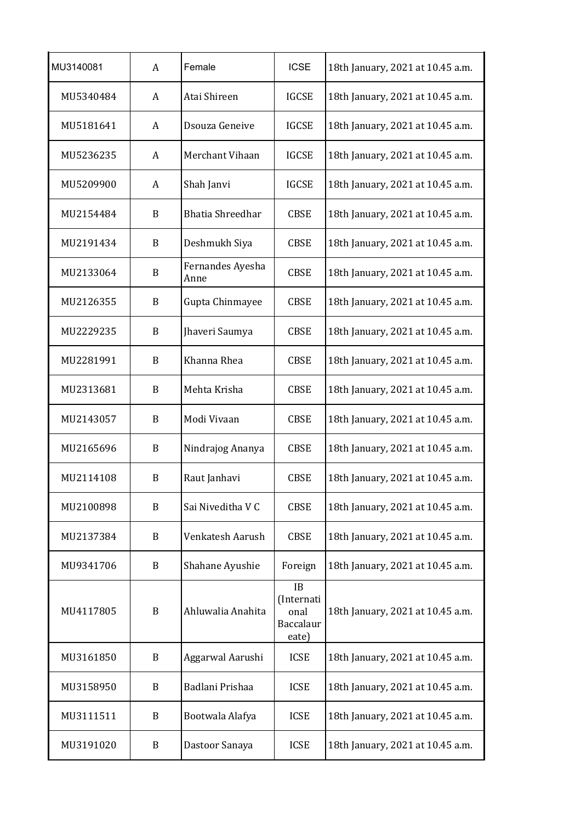| MU3140081 | A | Female                   | <b>ICSE</b>                                    | 18th January, 2021 at 10.45 a.m. |
|-----------|---|--------------------------|------------------------------------------------|----------------------------------|
| MU5340484 | A | Atai Shireen             | <b>IGCSE</b>                                   | 18th January, 2021 at 10.45 a.m. |
| MU5181641 | A | Dsouza Geneive           | <b>IGCSE</b>                                   | 18th January, 2021 at 10.45 a.m. |
| MU5236235 | A | Merchant Vihaan          | <b>IGCSE</b>                                   | 18th January, 2021 at 10.45 a.m. |
| MU5209900 | A | Shah Janvi               | <b>IGCSE</b>                                   | 18th January, 2021 at 10.45 a.m. |
| MU2154484 | B | <b>Bhatia Shreedhar</b>  | <b>CBSE</b>                                    | 18th January, 2021 at 10.45 a.m. |
| MU2191434 | B | Deshmukh Siya            | <b>CBSE</b>                                    | 18th January, 2021 at 10.45 a.m. |
| MU2133064 | B | Fernandes Ayesha<br>Anne | <b>CBSE</b>                                    | 18th January, 2021 at 10.45 a.m. |
| MU2126355 | B | Gupta Chinmayee          | <b>CBSE</b>                                    | 18th January, 2021 at 10.45 a.m. |
| MU2229235 | B | Jhaveri Saumya           | <b>CBSE</b>                                    | 18th January, 2021 at 10.45 a.m. |
| MU2281991 | B | Khanna Rhea              | <b>CBSE</b>                                    | 18th January, 2021 at 10.45 a.m. |
| MU2313681 | B | Mehta Krisha             | <b>CBSE</b>                                    | 18th January, 2021 at 10.45 a.m. |
| MU2143057 | B | Modi Vivaan              | <b>CBSE</b>                                    | 18th January, 2021 at 10.45 a.m. |
| MU2165696 | B | Nindrajog Ananya         | <b>CBSE</b>                                    | 18th January, 2021 at 10.45 a.m. |
| MU2114108 | B | Raut Janhavi             | <b>CBSE</b>                                    | 18th January, 2021 at 10.45 a.m. |
| MU2100898 | B | Sai Niveditha V C        | <b>CBSE</b>                                    | 18th January, 2021 at 10.45 a.m. |
| MU2137384 | B | Venkatesh Aarush         | <b>CBSE</b>                                    | 18th January, 2021 at 10.45 a.m. |
| MU9341706 | B | Shahane Ayushie          | Foreign                                        | 18th January, 2021 at 10.45 a.m. |
| MU4117805 | B | Ahluwalia Anahita        | IB<br>(Internati<br>onal<br>Baccalaur<br>eate) | 18th January, 2021 at 10.45 a.m. |
| MU3161850 | B | Aggarwal Aarushi         | <b>ICSE</b>                                    | 18th January, 2021 at 10.45 a.m. |
| MU3158950 | B | Badlani Prishaa          | <b>ICSE</b>                                    | 18th January, 2021 at 10.45 a.m. |
| MU3111511 | B | Bootwala Alafya          | <b>ICSE</b>                                    | 18th January, 2021 at 10.45 a.m. |
| MU3191020 | B | Dastoor Sanaya           | <b>ICSE</b>                                    | 18th January, 2021 at 10.45 a.m. |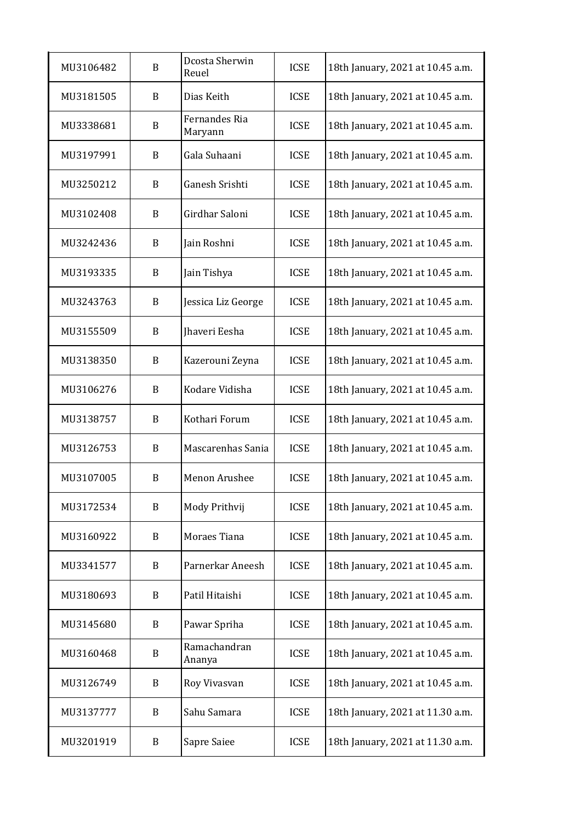| MU3106482 | B | Dcosta Sherwin<br>Reuel  | <b>ICSE</b> | 18th January, 2021 at 10.45 a.m. |
|-----------|---|--------------------------|-------------|----------------------------------|
| MU3181505 | B | Dias Keith               | <b>ICSE</b> | 18th January, 2021 at 10.45 a.m. |
| MU3338681 | B | Fernandes Ria<br>Maryann | <b>ICSE</b> | 18th January, 2021 at 10.45 a.m. |
| MU3197991 | B | Gala Suhaani             | <b>ICSE</b> | 18th January, 2021 at 10.45 a.m. |
| MU3250212 | B | Ganesh Srishti           | <b>ICSE</b> | 18th January, 2021 at 10.45 a.m. |
| MU3102408 | B | Girdhar Saloni           | <b>ICSE</b> | 18th January, 2021 at 10.45 a.m. |
| MU3242436 | B | Jain Roshni              | <b>ICSE</b> | 18th January, 2021 at 10.45 a.m. |
| MU3193335 | B | Jain Tishya              | <b>ICSE</b> | 18th January, 2021 at 10.45 a.m. |
| MU3243763 | B | Jessica Liz George       | <b>ICSE</b> | 18th January, 2021 at 10.45 a.m. |
| MU3155509 | B | Jhaveri Eesha            | <b>ICSE</b> | 18th January, 2021 at 10.45 a.m. |
| MU3138350 | B | Kazerouni Zeyna          | <b>ICSE</b> | 18th January, 2021 at 10.45 a.m. |
| MU3106276 | B | Kodare Vidisha           | <b>ICSE</b> | 18th January, 2021 at 10.45 a.m. |
| MU3138757 | B | Kothari Forum            | <b>ICSE</b> | 18th January, 2021 at 10.45 a.m. |
| MU3126753 | B | Mascarenhas Sania        | <b>ICSE</b> | 18th January, 2021 at 10.45 a.m. |
| MU3107005 | B | Menon Arushee            | <b>ICSE</b> | 18th January, 2021 at 10.45 a.m. |
| MU3172534 | B | Mody Prithvij            | <b>ICSE</b> | 18th January, 2021 at 10.45 a.m. |
| MU3160922 | B | Moraes Tiana             | <b>ICSE</b> | 18th January, 2021 at 10.45 a.m. |
| MU3341577 | B | Parnerkar Aneesh         | <b>ICSE</b> | 18th January, 2021 at 10.45 a.m. |
| MU3180693 | B | Patil Hitaishi           | <b>ICSE</b> | 18th January, 2021 at 10.45 a.m. |
| MU3145680 | B | Pawar Spriha             | <b>ICSE</b> | 18th January, 2021 at 10.45 a.m. |
| MU3160468 | B | Ramachandran<br>Ananya   | <b>ICSE</b> | 18th January, 2021 at 10.45 a.m. |
| MU3126749 | B | Roy Vivasvan             | <b>ICSE</b> | 18th January, 2021 at 10.45 a.m. |
| MU3137777 | B | Sahu Samara              | <b>ICSE</b> | 18th January, 2021 at 11.30 a.m. |
| MU3201919 | B | Sapre Saiee              | <b>ICSE</b> | 18th January, 2021 at 11.30 a.m. |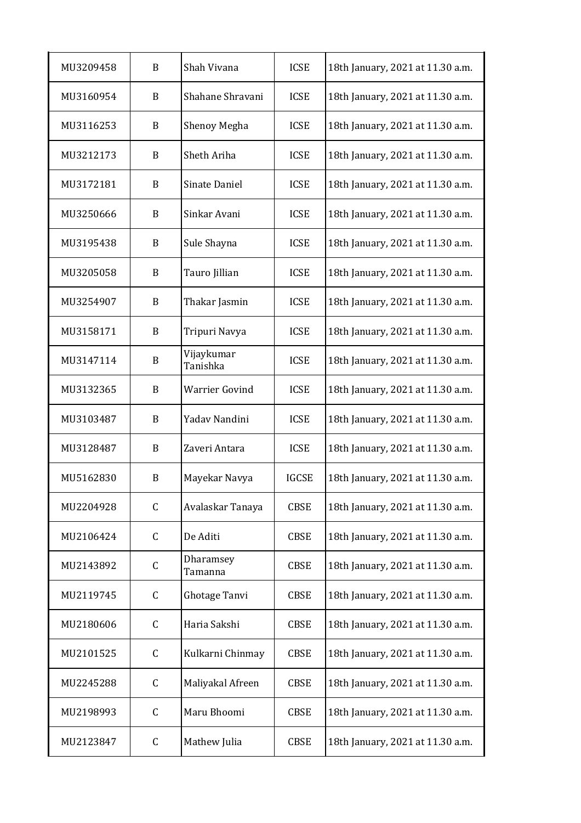| MU3209458 | B           | Shah Vivana            | <b>ICSE</b>  | 18th January, 2021 at 11.30 a.m. |
|-----------|-------------|------------------------|--------------|----------------------------------|
| MU3160954 | B           | Shahane Shravani       | <b>ICSE</b>  | 18th January, 2021 at 11.30 a.m. |
| MU3116253 | B           | Shenoy Megha           | <b>ICSE</b>  | 18th January, 2021 at 11.30 a.m. |
| MU3212173 | B           | Sheth Ariha            | <b>ICSE</b>  | 18th January, 2021 at 11.30 a.m. |
| MU3172181 | B           | Sinate Daniel          | <b>ICSE</b>  | 18th January, 2021 at 11.30 a.m. |
| MU3250666 | B           | Sinkar Avani           | <b>ICSE</b>  | 18th January, 2021 at 11.30 a.m. |
| MU3195438 | B           | Sule Shayna            | <b>ICSE</b>  | 18th January, 2021 at 11.30 a.m. |
| MU3205058 | B           | Tauro Jillian          | <b>ICSE</b>  | 18th January, 2021 at 11.30 a.m. |
| MU3254907 | B           | Thakar Jasmin          | <b>ICSE</b>  | 18th January, 2021 at 11.30 a.m. |
| MU3158171 | B           | Tripuri Navya          | <b>ICSE</b>  | 18th January, 2021 at 11.30 a.m. |
| MU3147114 | B           | Vijaykumar<br>Tanishka | <b>ICSE</b>  | 18th January, 2021 at 11.30 a.m. |
| MU3132365 | B           | <b>Warrier Govind</b>  | <b>ICSE</b>  | 18th January, 2021 at 11.30 a.m. |
| MU3103487 | B           | Yadav Nandini          | <b>ICSE</b>  | 18th January, 2021 at 11.30 a.m. |
| MU3128487 | B           | Zaveri Antara          | <b>ICSE</b>  | 18th January, 2021 at 11.30 a.m. |
| MU5162830 | B           | Mayekar Navya          | <b>IGCSE</b> | 18th January, 2021 at 11.30 a.m. |
| MU2204928 | $\mathsf C$ | Avalaskar Tanaya       | <b>CBSE</b>  | 18th January, 2021 at 11.30 a.m. |
| MU2106424 | $\mathsf C$ | De Aditi               | <b>CBSE</b>  | 18th January, 2021 at 11.30 a.m. |
| MU2143892 | C           | Dharamsey<br>Tamanna   | <b>CBSE</b>  | 18th January, 2021 at 11.30 a.m. |
| MU2119745 | $\mathsf C$ | Ghotage Tanvi          | <b>CBSE</b>  | 18th January, 2021 at 11.30 a.m. |
| MU2180606 | C           | Haria Sakshi           | <b>CBSE</b>  | 18th January, 2021 at 11.30 a.m. |
| MU2101525 | C           | Kulkarni Chinmay       | <b>CBSE</b>  | 18th January, 2021 at 11.30 a.m. |
| MU2245288 | C           | Maliyakal Afreen       | <b>CBSE</b>  | 18th January, 2021 at 11.30 a.m. |
| MU2198993 | C           | Maru Bhoomi            | <b>CBSE</b>  | 18th January, 2021 at 11.30 a.m. |
| MU2123847 | С           | Mathew Julia           | <b>CBSE</b>  | 18th January, 2021 at 11.30 a.m. |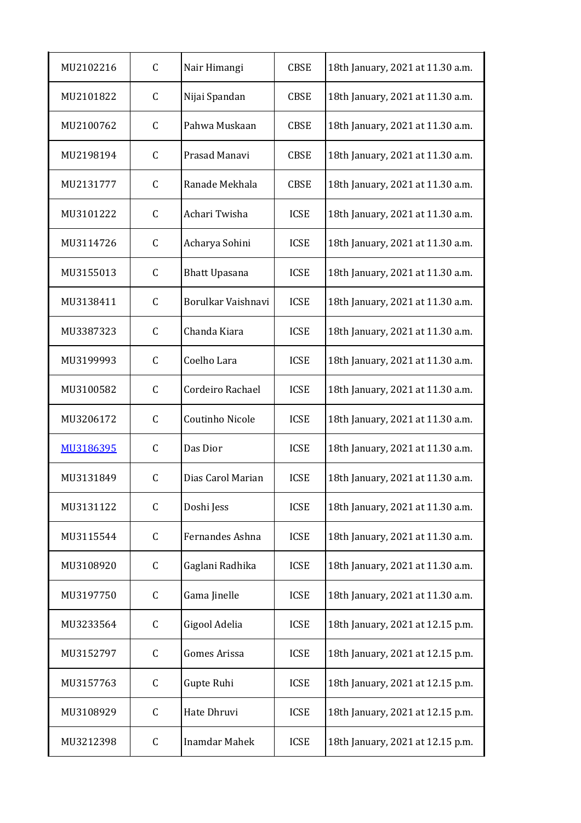| MU2102216 | C            | Nair Himangi         | <b>CBSE</b> | 18th January, 2021 at 11.30 a.m. |
|-----------|--------------|----------------------|-------------|----------------------------------|
| MU2101822 | $\mathsf C$  | Nijai Spandan        | <b>CBSE</b> | 18th January, 2021 at 11.30 a.m. |
| MU2100762 | C            | Pahwa Muskaan        | <b>CBSE</b> | 18th January, 2021 at 11.30 a.m. |
| MU2198194 | $\mathsf C$  | Prasad Manavi        | <b>CBSE</b> | 18th January, 2021 at 11.30 a.m. |
| MU2131777 | C            | Ranade Mekhala       | <b>CBSE</b> | 18th January, 2021 at 11.30 a.m. |
| MU3101222 | $\mathsf C$  | Achari Twisha        | <b>ICSE</b> | 18th January, 2021 at 11.30 a.m. |
| MU3114726 | $\mathsf C$  | Acharya Sohini       | <b>ICSE</b> | 18th January, 2021 at 11.30 a.m. |
| MU3155013 | $\mathsf C$  | <b>Bhatt Upasana</b> | <b>ICSE</b> | 18th January, 2021 at 11.30 a.m. |
| MU3138411 | $\mathsf C$  | Borulkar Vaishnavi   | <b>ICSE</b> | 18th January, 2021 at 11.30 a.m. |
| MU3387323 | $\mathsf C$  | Chanda Kiara         | <b>ICSE</b> | 18th January, 2021 at 11.30 a.m. |
| MU3199993 | $\mathsf C$  | Coelho Lara          | <b>ICSE</b> | 18th January, 2021 at 11.30 a.m. |
| MU3100582 | $\mathsf{C}$ | Cordeiro Rachael     | <b>ICSE</b> | 18th January, 2021 at 11.30 a.m. |
| MU3206172 | $\mathsf C$  | Coutinho Nicole      | <b>ICSE</b> | 18th January, 2021 at 11.30 a.m. |
| MU3186395 | $\mathsf C$  | Das Dior             | <b>ICSE</b> | 18th January, 2021 at 11.30 a.m. |
| MU3131849 | C            | Dias Carol Marian    | <b>ICSE</b> | 18th January, 2021 at 11.30 a.m. |
| MU3131122 | $\mathsf{C}$ | Doshi Jess           | <b>ICSE</b> | 18th January, 2021 at 11.30 a.m. |
| MU3115544 | $\mathsf C$  | Fernandes Ashna      | <b>ICSE</b> | 18th January, 2021 at 11.30 a.m. |
| MU3108920 | $\mathsf{C}$ | Gaglani Radhika      | <b>ICSE</b> | 18th January, 2021 at 11.30 a.m. |
| MU3197750 | $\mathsf C$  | Gama Jinelle         | <b>ICSE</b> | 18th January, 2021 at 11.30 a.m. |
| MU3233564 | $\mathsf C$  | Gigool Adelia        | <b>ICSE</b> | 18th January, 2021 at 12.15 p.m. |
| MU3152797 | $\mathsf C$  | <b>Gomes Arissa</b>  | <b>ICSE</b> | 18th January, 2021 at 12.15 p.m. |
| MU3157763 | $\mathsf C$  | Gupte Ruhi           | <b>ICSE</b> | 18th January, 2021 at 12.15 p.m. |
| MU3108929 | $\mathsf C$  | Hate Dhruvi          | <b>ICSE</b> | 18th January, 2021 at 12.15 p.m. |
| MU3212398 | $\mathsf C$  | <b>Inamdar Mahek</b> | <b>ICSE</b> | 18th January, 2021 at 12.15 p.m. |
|           |              |                      |             |                                  |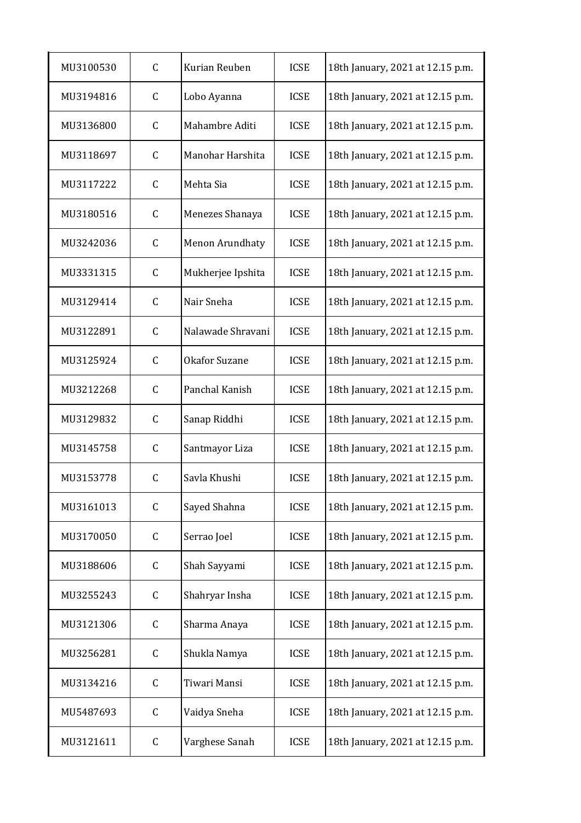| MU3100530 | $\mathsf{C}$ | Kurian Reuben        | <b>ICSE</b> | 18th January, 2021 at 12.15 p.m. |
|-----------|--------------|----------------------|-------------|----------------------------------|
| MU3194816 | $\mathsf C$  | Lobo Ayanna          | <b>ICSE</b> | 18th January, 2021 at 12.15 p.m. |
| MU3136800 | $\mathsf C$  | Mahambre Aditi       | <b>ICSE</b> | 18th January, 2021 at 12.15 p.m. |
| MU3118697 | $\mathsf C$  | Manohar Harshita     | <b>ICSE</b> | 18th January, 2021 at 12.15 p.m. |
| MU3117222 | $\mathsf C$  | Mehta Sia            | <b>ICSE</b> | 18th January, 2021 at 12.15 p.m. |
| MU3180516 | C            | Menezes Shanaya      | <b>ICSE</b> | 18th January, 2021 at 12.15 p.m. |
| MU3242036 | $\mathsf C$  | Menon Arundhaty      | <b>ICSE</b> | 18th January, 2021 at 12.15 p.m. |
| MU3331315 | $\mathsf C$  | Mukherjee Ipshita    | <b>ICSE</b> | 18th January, 2021 at 12.15 p.m. |
| MU3129414 | C            | Nair Sneha           | <b>ICSE</b> | 18th January, 2021 at 12.15 p.m. |
| MU3122891 | $\mathsf C$  | Nalawade Shravani    | <b>ICSE</b> | 18th January, 2021 at 12.15 p.m. |
| MU3125924 | $\mathsf C$  | <b>Okafor Suzane</b> | <b>ICSE</b> | 18th January, 2021 at 12.15 p.m. |
| MU3212268 | $\mathsf C$  | Panchal Kanish       | <b>ICSE</b> | 18th January, 2021 at 12.15 p.m. |
| MU3129832 | $\mathsf C$  | Sanap Riddhi         | <b>ICSE</b> | 18th January, 2021 at 12.15 p.m. |
| MU3145758 | $\mathsf C$  | Santmayor Liza       | <b>ICSE</b> | 18th January, 2021 at 12.15 p.m. |
| MU3153778 | $\mathsf C$  | Savla Khushi         | <b>ICSE</b> | 18th January, 2021 at 12.15 p.m. |
| MU3161013 | $\mathsf C$  | Sayed Shahna         | <b>ICSE</b> | 18th January, 2021 at 12.15 p.m. |
| MU3170050 | C            | Serrao Joel          | <b>ICSE</b> | 18th January, 2021 at 12.15 p.m. |
| MU3188606 | $\mathsf C$  | Shah Sayyami         | <b>ICSE</b> | 18th January, 2021 at 12.15 p.m. |
| MU3255243 | C            | Shahryar Insha       | <b>ICSE</b> | 18th January, 2021 at 12.15 p.m. |
| MU3121306 | C            | Sharma Anaya         | <b>ICSE</b> | 18th January, 2021 at 12.15 p.m. |
| MU3256281 | C            | Shukla Namya         | <b>ICSE</b> | 18th January, 2021 at 12.15 p.m. |
| MU3134216 | C            | Tiwari Mansi         | <b>ICSE</b> | 18th January, 2021 at 12.15 p.m. |
| MU5487693 | C            | Vaidya Sneha         | <b>ICSE</b> | 18th January, 2021 at 12.15 p.m. |
| MU3121611 | C            | Varghese Sanah       | <b>ICSE</b> | 18th January, 2021 at 12.15 p.m. |
|           |              |                      |             |                                  |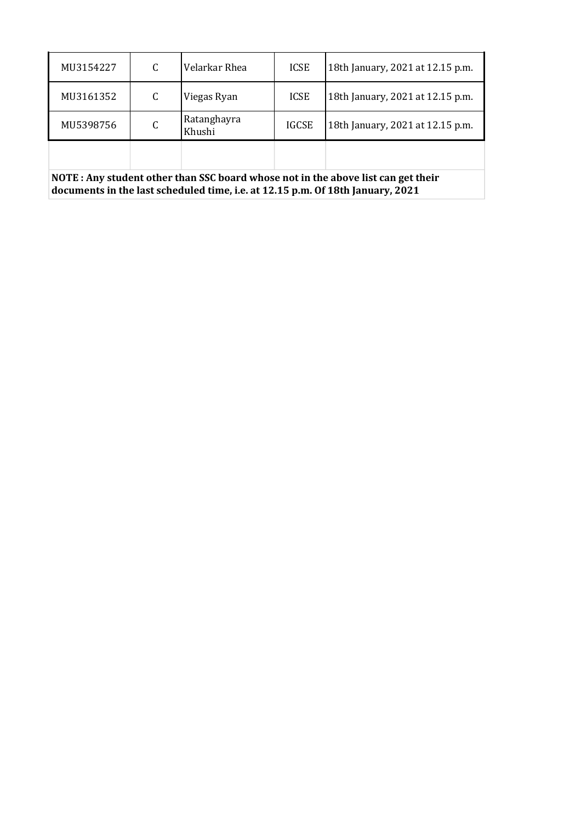| MU3154227 | C | Velarkar Rhea         | <b>ICSE</b>  | 18th January, 2021 at 12.15 p.m. |
|-----------|---|-----------------------|--------------|----------------------------------|
| MU3161352 | C | Viegas Ryan           | <b>ICSE</b>  | 18th January, 2021 at 12.15 p.m. |
| MU5398756 | C | Ratanghayra<br>Khushi | <b>IGCSE</b> | 18th January, 2021 at 12.15 p.m. |
|           |   |                       |              |                                  |

**NOTE : Any student other than SSC board whose not in the above list can get their documents in the last scheduled time, i.e. at 12.15 p.m. Of 18th January, 2021**